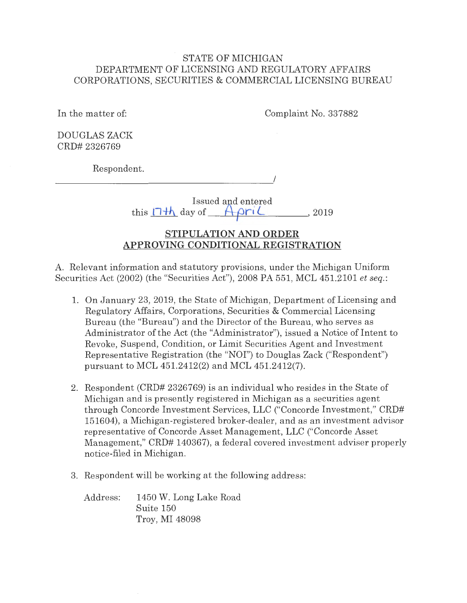# STATE OF MICHIGAN DEPARTMENT OF LICENSING AND REGULATORY AFFAIRS CORPORATIONS, SECURITIES & COMMERCIAL LICENSING BUREAU

In the matter of: Complaint No. 337882

DOUGLAS ZACK CRD# 2326769

Respondent.

 $\overline{\phantom{a}}$ 

Issued and entered this  $11h$  day of  $ApiriL$ , 2019

# **STIPULATION AND ORDER APPROVING CONDITIONAL REGISTRATION**

A. Relevant information and statutory provisions, under the Michigan Uniform Securities Act (2002) (the "Securities Act"), 2008 PA 551, MCL 451.2101 *et seq.:* 

- 1. On January 23, 2019, the State of Michigan, Department of Licensing and Regulatory Affairs, Corporations, Securities & Commercial Licensing Bureau (the "Bureau") and the Director of the Bureau, who serves as Administrator of the Act (the "Administrator"), issued a Notice of Intent to Revoke, Suspend, Condition, or Limit Securities Agent and Investment Representative Registration (the "NOI") to Douglas Zack ("Respondent") pursuant to MCL 451.2412(2) and MCL 451.2412(7).
- 2. Respondent (CRD# 2326769) is an individual who resides in the State of Michigan and is presently registered in Michigan as a securities agent through Concorde Investment Services, LLC ("Concorde Investment," CRD# 151604), a Michigan-registered broker-dealer, and as an investment advisor representative of Concorde Asset Management, LLC ("Concorde Asset Management," CRD# 140367), a federal covered investment adviser properly notice-filed in Michigan.
- 3. Respondent will be working at the following address:

Address: 1450 W. Long Lake Road Suite 150 Troy, MI 48098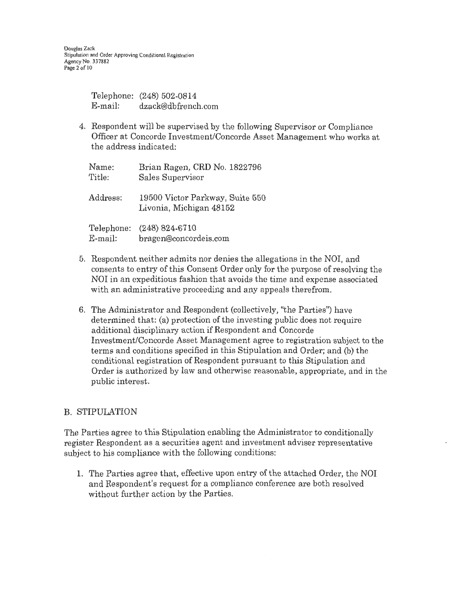|         | Telephone: (248) 502-0814 |
|---------|---------------------------|
| E-mail: | dzack@dbfrench.com        |

4. Respondent will be supervised by the following Supervisor or Compliance Officer at Concorde Investment/Concorde Asset Management who works at the address indicated:

| Name:      | Brian Ragen, CRD No. 1822796                               |
|------------|------------------------------------------------------------|
| Title:     | Sales Supervisor                                           |
| Address:   | 19500 Victor Parkway, Suite 550<br>Livonia, Michigan 48152 |
| Telephone: | $(248) 824 - 6710$                                         |
| $E$ -mail: | bragen@concordeis.com                                      |

- 5. Respondent neither admits nor denies the allegations in the NOi, and consents to entry of this Consent Order only for the purpose of resolving the NOI in an expeditious fashion that avoids the time and expense associated with an administrative proceeding and any appeals therefrom.
- 6. The Administrator and Respondent (collectively, "the Parties") have determined that: (a) protection of the investing public does not require additional disciplinary action if Respondent and Concorde Investment/Concorde Asset Management agree to registration subject to the terms and conditions specified in this Stipulation and Order; and (b) the conditional registration of Respondent pursuant to this Stipulation and Order is authorized by law and otherwise reasonable, appropriate, and in the public interest.

## B. STIPULATION

The Parties agree to this Stipulation enabling the Administrator to conditionally register Respondent as a securities agent and investment adviser representative subject to his compliance with the following conditions:

1. The Parties agree that, effective upon entry of the attached Order, the NOi and Respondent's request for a compliance conference are both resolved without further action by the Parties.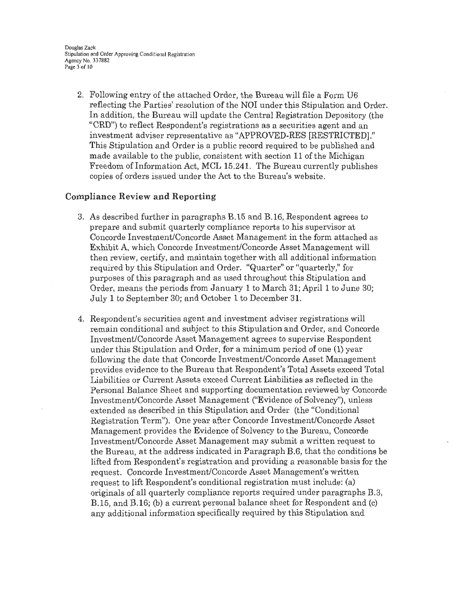Douglas Zack Stipulation and Order Approving Conditional Registration Agency No. 337882 Page 3 of 10

2, Following entry of the attached Order, the Bureau will file a Form U6 reflecting the Parties' resolution of the NOI under this Stipulation and Order. In addition, the Bureau will update the Central Registration Depository (the "CRD") to reflect Respondent's registrations as a securities agent and an investment adviser representative as "APPROVED-RES [RESTRICTED]." This Stipulation and Order is a public record required to be published and made available to the public, consistent with section 11 of the Michigan Freedom oflnformation Act, MCL 15.241. The Bureau currently publishes copies of orders issued under the Act to the Bureau's website .

#### **Compliance Review and Reporting**

- 3. As described further in paragraphs B.15 and B.16, Respondent agrees to prepare and submit quarterly compliance reports to his supervisor at Concorde Investment/Concorde Asset Management in the form attached as Exhibit A, which Concorde Investment/Concorde Asset Management will then review, certify, and maintain together with all additional information required by this Stipulation and Order. "Quarter" or "quarterly," for purposes of this paragraph and as used throughout this Stipulation and Order, means the periods from January **1** to March 31; April 1 to June 30; July 1 to September 30; and October 1 to December 31.
- 4. Respondent's securities agent and investment adviser registrations will remain conditional and subject to this Stipulation and Order, and Concorde Investment/Concorde Asset Management agrees to supervise Respondent under this Stipulation and Order, for a minimum period of one (1) year following the date that Concorde Investment/Concorde Asset Management provides evidence to the Bureau that Respondent's Total Assets exceed Total Liabilities or Current Assets exceed Current Liabilities as reflected in the Personal Balance Sheet and supporting documentation reviewed by Concorde Investment/Concorde Asset Management ("Evidence of Solvency"), unless extended as described in this Stipulation and Order (the "Conditional Registration Term"). One year after Concorde Investment/Concorde Asset Management provides the Evidence of Solvency to the Bureau, Concorde Investment/Concorde Asset Management may submit a written request to the Bureau, at the address indicated in Paragraph B.6, that the conditions be lifted from Respondent's registration and providing a reasonable basis for the request. Concorde Investment/Concorde Asset Management's written request to lift Respondent's conditional registration must include: (a) originals of all quarterly compliance reports required under paragraphs B.3, B.15, and B.16; (b) a current personal balance sheet for Respondent and (c) any additional information specifically required by this Stipulation and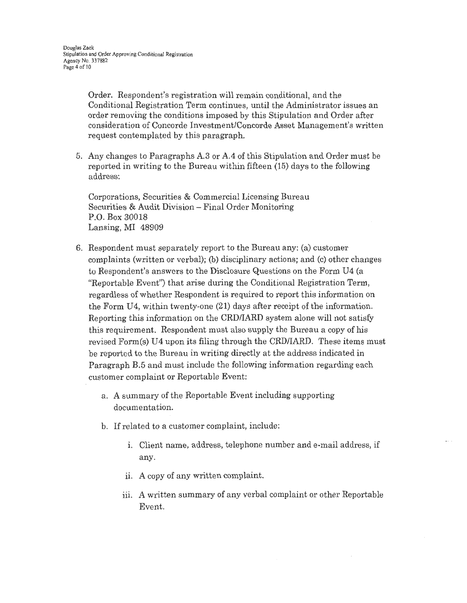Order. Respondent's registration will remain conditional, and the Conditional Registration Term continues, until the Administrator issues an order removing the conditions imposed by this Stipulation and Order after consideration of Concorde Investment/Concorde Asset Management's written request contemplated by this paragraph.

5. Any changes to Paragraphs A.3 or A.4 of this Stipulation and Order must be reported in writing to the Bureau within fifteen (15) days to the following address:

Corporations, Securities & Commercial Licensing Bureau Securities & Audit Division - Final Order Monitoring P.O. Box 30018 Lansing, MI 48909

- 6. Respondent must separately report to the Bureau any: (a) customer complaints (written or verbal); (b) disciplinary actions; and (c) other changes to Respondent's answers to the Disclosure Questions on the Form U4 (a "Reportable Event") that arise during the Conditional Registration Term, regardless of whether Respondent is required to report this information on the Form U4, within twenty-one **(21)** days after receipt of the information. Reporting this information on the CRD/IARD system alone will not satisfy this requirement. Respondent must also supply the Bureau a copy of his revised Form(s) U4 upon its filing through the CRD/IARD. These items must be reported to the Bureau in writing directly at the address indicated in Paragraph B.5 and must include the following information regarding each customer complaint or Reportable Event:
	- a. A summary of the Reportable Event including supporting documentation.
	- b. If related to a customer complaint, include:
		- i. Client name, address, telephone number and e-mail address, if any.
		- ii. A copy of any written complaint.
		- iii. A written summary of any verbal complaint or other Reportable Event.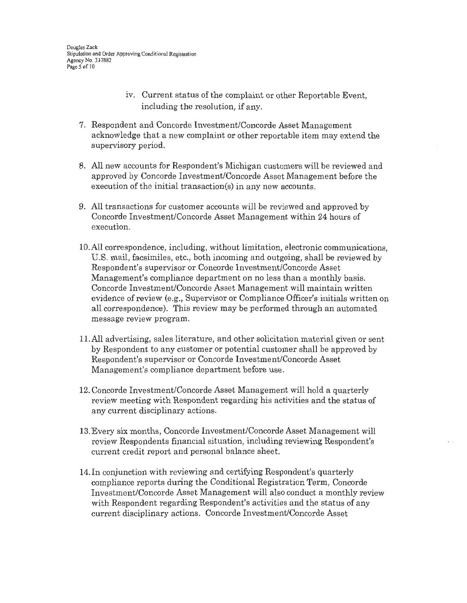- iv. Current status of the complaint or other Reportable Event, including the resolution, if any.
- 7. Respondent and Concorde Investment/Concorde Asset Management acknowledge that a new complaint or other reportable item may extend the supervisory period.
- 8. All new accounts for Respondent's Michigan customers will be reviewed and approved by Concorde Investment/Concorde Asset Management before the execution of the initial transaction(s) in any new accounts.
- 9. All transactions for customer accounts will be reviewed and approved by Concorde Investment/Concorde Asset Management within 24 hours of execution.
- 10.All correspondence, including, without limitation, electronic communications, U.S. mail, facsimiles, etc., both incoming and outgoing, shall be reviewed by Respondent's supervisor or Concorde Investment/Concorde Asset Management's compliance department on no less than a monthly basis. Concorde Investment/Concorde Asset Management will maintain written evidence of review (e .g., Supervisor or Compliance Officer's initials written on all correspondence). This review may be performed through an automated message review program.
- 11. All advertising, sales literature, and other solicitation material given or sent by Respondent to any customer or potential customer shall be approved by Respondent's supervisor or Concorde Investment/Concorde Asset Management's compliance department before use.
- 12. Concorde Investment/Concorde Asset Management will hold a quarterly review meeting with Respondent regarding his activities and the status of any current disciplinary actions.
- 13. Every six months, Concorde Investment/Concorde Asset Management will review Respondents financial situation, including reviewing Respondent's current credit report and personal balance sheet.
- 14. In conjunction with reviewing and certifying Respondent's quarterly compliance reports during the Conditional Registration Term, Concorde Investment/Concorde Asset Management will also conduct a monthly review with Respondent regarding Respondent's activities and the status of any current disciplinary actions. Concorde Investment/Concorde Asset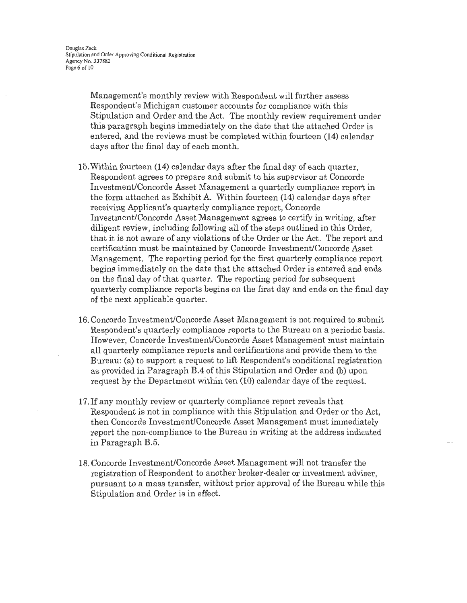Management's monthly review with Respondent will further assess Respondent's Michigan customer accounts for compliance with this Stipulation and Order and the Act. The monthly review requirement under this paragraph begins immediately on the date that the attached Order is entered, and the reviews must be completed within fourteen (14) calendar days after the final day of each month.

- 15. Within fourteen (14) calendar days after the final day of each quarter, Respondent agrees to prepare and submit to his supervisor at Concorde Investment/Concorde Asset Management a quarterly compliance report in the form attached as Exhibit A. Within fourteen (14) calendar days after receiving Applicant's quarterly compliance report, Concorde Investment/Concorde Asset Management agrees to certify in writing, after diligent review, including following all of the steps outlined in this Order, that it is not aware of any violations of the Order or the Act. The report and certification must be maintained by Concorde Investment/Concorde Asset Management. The reporting period for the first quarterly compliance report begins immediately on the date that the attached Order is entered and ends on the final day of that quarter. The reporting period for subsequent quarterly compliance reports begins on the first day and ends on the final day of the next applicable quarter.
- 16. Concorde Investment/Concorde Asset Management is not required to submit Respondent's quarterly compliance reports to the Bureau on a periodic basis. However, Concorde Investment/Concorde Asset Management must maintain all quarterly compliance reports and certifications and provide them to the Bureau: (a) to support a request to lift Respondent's conditional registration as provided in Paragraph B.4 of this Stipulation and Order and (b) upon request by the Department within ten (10) calendar days of the request.
- 17. If any monthly review or quarterly compliance report reveals that Respondent is not in compliance with this Stipulation and Order or the Act, then Concorde Investment/Concorde Asset Management must immediately report the non-compliance to the Bureau in writing at the address indicated in Paragraph B.5.
- 18. Concorde Investment/Concorde Asset Management will not transfer the registration of Respondent to another broker-dealer or investment adviser, pursuant to a mass transfer, without prior approval of the Bureau while this Stipulation and Order is in effect.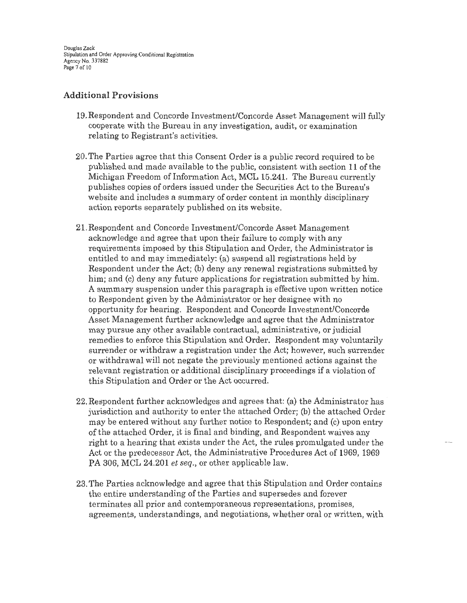Douglas Zack Stipulation and Order Approving Conditional Registration Agency No. 3 37882 Page 7 of IO

## **Additional Provisions**

- 19.Respondent and Concorde Investment/Concorde Asset Management will fully cooperate with the Bureau in any investigation, audit, or examination relating to Registrant's activities.
- 20. The Parties agree that this Consent Order is a public record required to be published and made available to the public, consistent with section **11** of the Michigan Freedom of Information Act, MCL 15.241. The Bureau currently publishes copies of orders issued under the Securities Act to the Bureau's website and includes a summary of order content in monthly disciplinary action reports separately published on its website.
- 21.Respondent and Concorde Investment/Concorde Asset Management acknowledge and agree that upon their failure to comply with any requirements imposed by this Stipulation and Order, the Administrator is entitled to and may immediately: (a) suspend all registrations held by Respondent under the Act; (b) deny any renewal registrations submitted by him; and (c) deny any future applications for registration submitted by him. A summary suspension under this paragraph is effective upon written notice to Respondent given by the Administrator or her designee with no opportunity for hearing. Respondent and Concorde Investment/Concorde Asset Management further acknowledge and agree that the Administrator may pursue any other available contractual, administrative, or judicial remedies to enforce this Stipulation and Order. Respondent may voluntarily surrender or withdraw a registration under the Act; however, such surrender or withdrawal will not negate the previously mentioned actions against the relevant registration or additional disciplinary proceedings if a violation of this Stipulation and Order or the Act occurred.
- 22. Respondent further acknowledges and agrees that: (a) the Administrator has jurisdiction and authority to enter the attached Order; (b) the attached Order may be entered without any further notice to Respondent; and (c) upon entry of the attached Order, it is final and binding, and Respondent waives any right to a hearing that exists under the Act, the rules promulgated under the Act or the predecessor Act, the Administrative Procedures Act of 1969, 1969 PA 306, MCL 24.201 *et seq.,* or other applicable law.
- 23. The Parties acknowledge and agree that this Stipulation and Order contains the entire understanding of the Parties and supersedes and forever terminates all prior and contemporaneous representations, promises, agreements, understandings, and negotiations, whether oral or written, with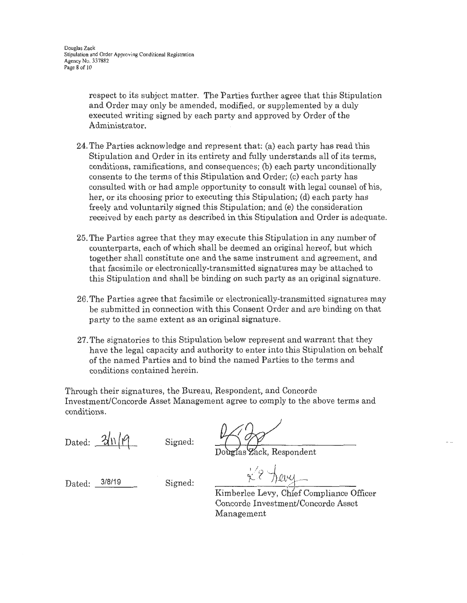respect to its subject matter. The Parties further agree that this Stipulation and Order may only be amended, modified, or supplemented by a duly executed writing signed by each party and approved by Order of the Administrator.

- 24. The Parties acknowledge and represent that: (a) each party has read this Stipulation and Order in its entirety and fully understands all of its terms, conditions, ramifications, and consequences; (b) each party unconditionally consents to the terms of this Stipulation and Order; (c) each party has consulted with or had ample opportunity to consult with legal counsel of his, her, or its choosing prior to executing this Stipulation; (d) each party has freely and voluntarily signed this Stipulation; and (e) the consideration received by each party as described in this Stipulation and Order is adequate.
- 25. The Parties agree that they may execute this Stipulation in any number of counterparts, each of which shall be deemed an original hereof, but which together shall constitute one and the same instrument and agreement, and that facsimile or electronically-transmitted signatures may be attached to this Stipulation and shall be binding on such party as an original signature.
- 26. The Parties agree that facsimile or electronically-transmitted signatures may be submitted in connection with this Consent Order and are binding on that party to the same extent as an original signature.
- 27. The signatories to this Stipulation below represent and warrant that they have the legal capacity and authority to enter into this Stipulation on behalf of the named Parties and to bind the named Parties to the terms and conditions contained herein.

Through their signatures, the Bureau, Respondent, and Concorde Investment/Concorde Asset Management agree to comply to the above terms and conditions.

Dated:  $\frac{2}{\ln |\ell|}$ 

Signed:

*V*<br>Zack, Respondent

Dated:  $3/8/19$  Signed:

 $\sqrt{2}$  $r \cdot \eta$ erg --

Kimberlee Levy, Chief Compliance Officer Concorde Investment/Concorde Asset Management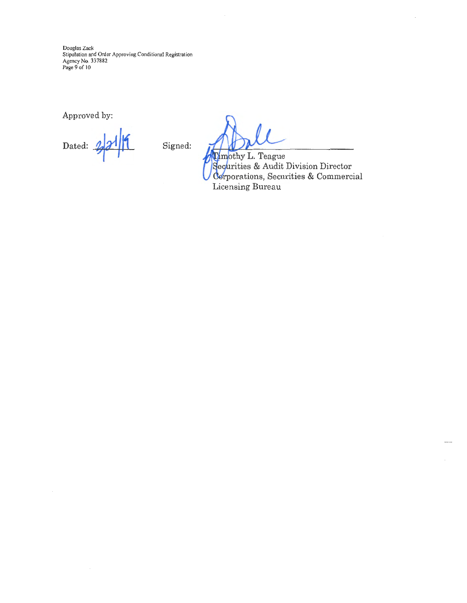Douglas Zack<br>Stipulation and Order Approving Conditional Registration Agency No. 337882<br>Page 9 of 10

Approved by:

Dated:  $2/2$  | | | Signed:

 $\alpha$ <sub>1</sub>,  $\beta$ ,  $\beta$ ,  $\beta$ ,  $\beta$ ,  $\beta$ ,  $\beta$ ,  $\beta$ ,  $\beta$ ,  $\beta$ ,  $\beta$ ,  $\beta$ ,  $\beta$ ,  $\beta$ ,  $\beta$ ,  $\beta$ ,  $\beta$ ,  $\alpha$ ,  $\beta$ ,  $\beta$ ,  $\alpha$ ,  $\beta$ ,  $\beta$ ,  $\alpha$ ,  $\beta$ ,  $\beta$ ,  $\alpha$ ,  $\beta$ ,  $\alpha$ ,  $\beta$ ,  $\alpha$ ,  $\beta$ ,  $\alpha$ ,  $\beta$ ,  $\alpha$ ,  $\beta$ ,  $\$ orations, Securities & Commercial Licensing Bureau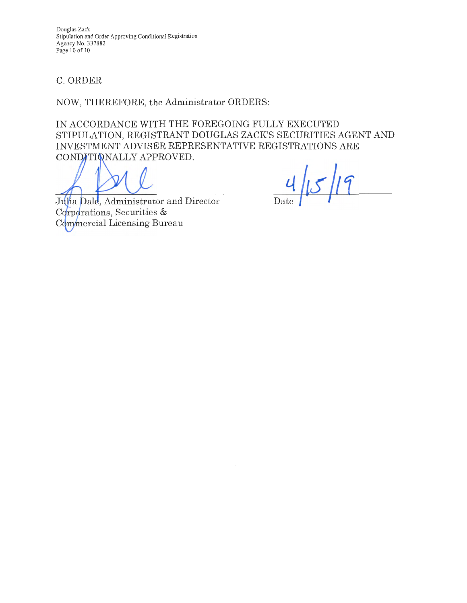Douglas Zack Stipulation and Order Approving Conditional Registration Agency No. 337882 Page 10 of LO

# C. ORDER

NOW, THEREFORE, the Administrator ORDERS:

IN ACCORDANCE WITH THE FOREGOING FULLY EXECUTED STIPULATION, REGISTRANT DOUGLAS ZACK'S SECURITIES AGENT AND INVESTMENT ADVISER REPRESENTATIVE REGISTRATIONS ARE CONDITIONALLY APPROVED.

Julia Dale, Administrator and Director Corporations, Securities & Commercial Licensing Bureau

 $5/19$ Date  $\vert$   $\vert$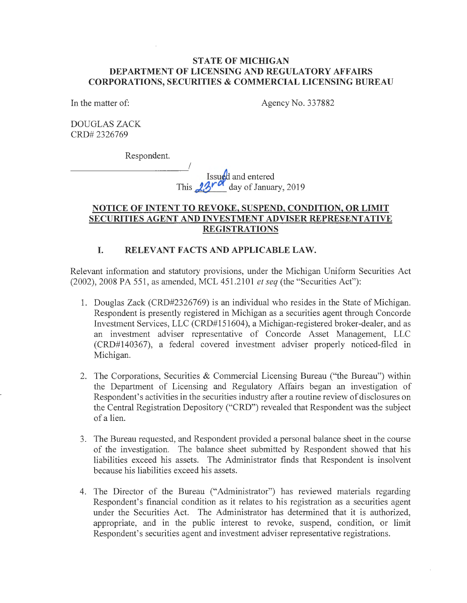### **STATE OF MICHIGAN DEPARTMENT OF LICENSING AND REGULATORY AFFAIRS CORPORATIONS, SECURITIES & COMMERCIAL LICENSING BUREAU**

In the matter of:

Agency No. 337882

DOUGLAS ZACK CRD# 2326769

Respondent.

I Issued and entered This 23<sup>rd</sup> day of January, 2019

# **NOTICE OF INTENT TO REVOKE, SUSPEND, CONDITION, OR LIMIT SECURITIES AGENT AND INVESTMENT ADVISER REPRESENTATIVE REGISTRATIONS**

## **I. RELEVANT FACTS AND APPLICABLE LAW.**

Relevant information and statutory provisions, under the Michigan Uniform Securities Act (2002), 2008 PA 551, as amended, MCL 451.2101 *et seq* (the "Securities Act"):

- 1. Douglas Zack (CRD#2326769) is an individual who resides in the State of Michigan. Respondent is presently registered in Michigan as a securities agent through Concorde Investment Services, LLC (CRD#151604), a Michigan-registered broker-dealer, and as an investment adviser representative of Concorde Asset Management, LLC (CRD#l40367), a federal covered investment adviser properly noticed-filed in Michigan.
- 2. The Corporations, Securities & Commercial Licensing Bureau ("the Bureau") within the Department of Licensing and Regulatory Affairs began an investigation of Respondent's activities in the securities industry after a routine review of disclosures on the Central Registration Depository ("CRD") revealed that Respondent was the subject of a lien.
- 3. The Bureau requested, and Respondent provided a personal balance sheet in the course of the investigation. The balance sheet submitted by Respondent showed that his liabilities exceed his assets. The Administrator finds that Respondent is insolvent because his liabilities exceed his assets.
- 4. The Director of the Bureau ("Administrator") has reviewed materials regarding Respondent's financial condition as it relates to his registration as a securities agent under the Securities Act. The Administrator has determined that it is authorized, appropriate, and in the public interest to revoke, suspend, condition, or limit Respondent's securities agent and investment adviser representative registrations.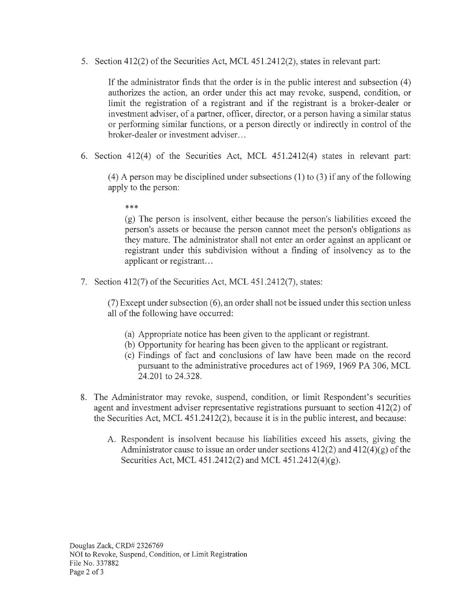5. Section 412(2) of the Securities Act, MCL 451.2412(2), states in relevant part:

If the administrator finds that the order is in the public interest and subsection  $(4)$ authorizes the action, an order under this act may revoke, suspend, condition, or limit the registration of a registrant and if the registrant is a broker-dealer or investment adviser, of a partner, officer, director, or a person having a similar status or performing similar functions, or a person directly or indirectly in control of the broker-dealer or investment adviser. ..

6. Section 412(4) of the Securities Act, MCL 451.2412(4) states in relevant part:

(4) A person may be disciplined under subsections (1) to (3) if any of the following apply to the person:

\*\*\*

(g) The person is insolvent, either because the person's liabilities exceed the person's assets or because the person cannot meet the person's obligations as they mature. The administrator shall not enter an order against an applicant or registrant under this subdivision without a finding of insolvency as to the applicant or registrant...

7. Section 412(7) of the Securities Act, MCL 451.2412(7), states:

(7) Except under subsection ( 6), an order shall not be issued under this section unless all of the following have occurred:

- (a) Appropriate notice has been given to the applicant or registrant.
- (b) Opportunity for hearing has been given to the applicant or registrant.
- ( c) Findings of fact and conclusions of law have been made on the record pursuant to the administrative procedures act of 1969, 1969 PA 306, MCL 24.201 to 24.328.
- 8. The Administrator may revoke, suspend, condition, or limit Respondent's securities agent and investment adviser representative registrations pursuant to section 412(2) of the Securities Act, MCL 451.2412(2), because it is in the public interest, and because:
	- A. Respondent is insolvent because his liabilities exceed his assets, giving the Administrator cause to issue an order under sections  $412(2)$  and  $412(4)(g)$  of the Securities Act, MCL 451.2412(2) and MCL 451.2412(4)(g).